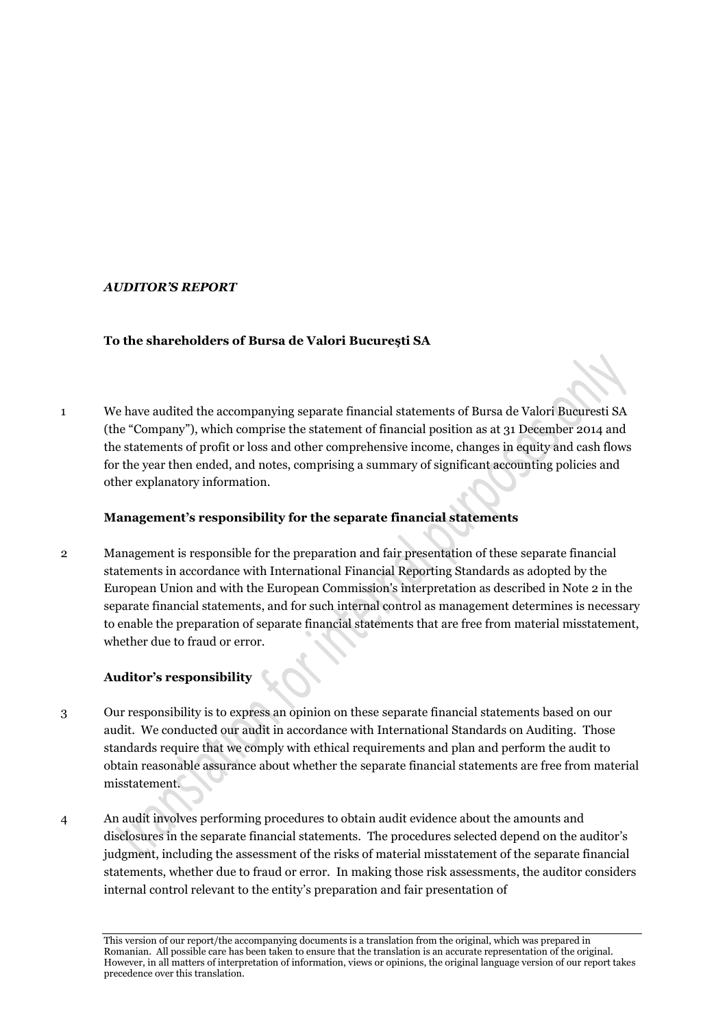## *AUDITOR'S REPORT*

## **To the shareholders of Bursa de Valori Bucureşti SA**

1 We have audited the accompanying separate financial statements of Bursa de Valori Bucuresti SA (the "Company"), which comprise the statement of financial position as at 31 December 2014 and the statements of profit or loss and other comprehensive income, changes in equity and cash flows for the year then ended, and notes, comprising a summary of significant accounting policies and other explanatory information.

## **Management's responsibility for the separate financial statements**

2 Management is responsible for the preparation and fair presentation of these separate financial statements in accordance with International Financial Reporting Standards as adopted by the European Union and with the European Commission's interpretation as described in Note 2 in the separate financial statements, and for such internal control as management determines is necessary to enable the preparation of separate financial statements that are free from material misstatement, whether due to fraud or error.

# **Auditor's responsibility**

- 3 Our responsibility is to express an opinion on these separate financial statements based on our audit. We conducted our audit in accordance with International Standards on Auditing. Those standards require that we comply with ethical requirements and plan and perform the audit to obtain reasonable assurance about whether the separate financial statements are free from material misstatement.
- 4 An audit involves performing procedures to obtain audit evidence about the amounts and disclosures in the separate financial statements. The procedures selected depend on the auditor's judgment, including the assessment of the risks of material misstatement of the separate financial statements, whether due to fraud or error. In making those risk assessments, the auditor considers internal control relevant to the entity's preparation and fair presentation of

This version of our report/the accompanying documents is a translation from the original, which was prepared in Romanian. All possible care has been taken to ensure that the translation is an accurate representation of the original. However, in all matters of interpretation of information, views or opinions, the original language version of our report takes precedence over this translation.